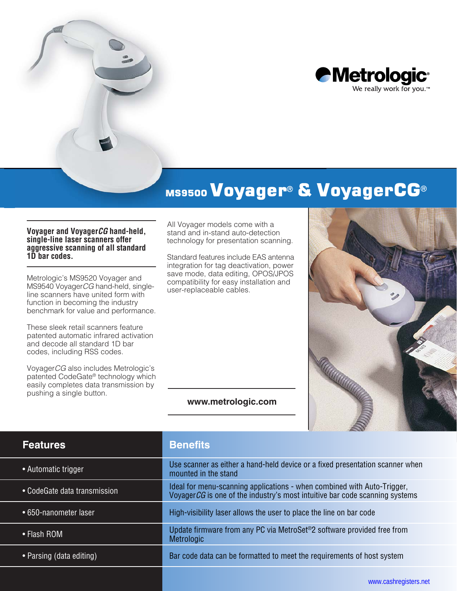

# MS9500 Voyager® & VoyagerCG®

#### **Voyager and Voyager***CG* **hand-held, single-line laser scanners offer aggressive scanning of all standard 1D bar codes.**

Metrologic's MS9520 Voyager and MS9540 Voyager*CG* hand-held, singleline scanners have united form with function in becoming the industry benchmark for value and performance.

These sleek retail scanners feature patented automatic infrared activation and decode all standard 1D bar codes, including RSS codes.

Voyager*CG* also includes Metrologic's patented CodeGate® technology which easily completes data transmission by pushing a single button.

All Voyager models come with a stand and in-stand auto-detection technology for presentation scanning.

Standard features include EAS antenna integration for tag deactivation, power save mode, data editing, OPOS/JPOS compatibility for easy installation and user-replaceable cables.

#### **www.metrologic.com**



| <b>Features</b>              | <b>Benefits</b>                                                                                                                                         |  |  |
|------------------------------|---------------------------------------------------------------------------------------------------------------------------------------------------------|--|--|
| • Automatic trigger          | Use scanner as either a hand-held device or a fixed presentation scanner when<br>mounted in the stand                                                   |  |  |
| • CodeGate data transmission | Ideal for menu-scanning applications - when combined with Auto-Trigger,<br>Voyager CG is one of the industry's most intuitive bar code scanning systems |  |  |
| • 650-nanometer laser        | High-visibility laser allows the user to place the line on bar code                                                                                     |  |  |
| • Flash ROM                  | Update firmware from any PC via MetroSet <sup>®</sup> 2 software provided free from<br>Metrologic                                                       |  |  |
| • Parsing (data editing)     | Bar code data can be formatted to meet the requirements of host system                                                                                  |  |  |
|                              |                                                                                                                                                         |  |  |